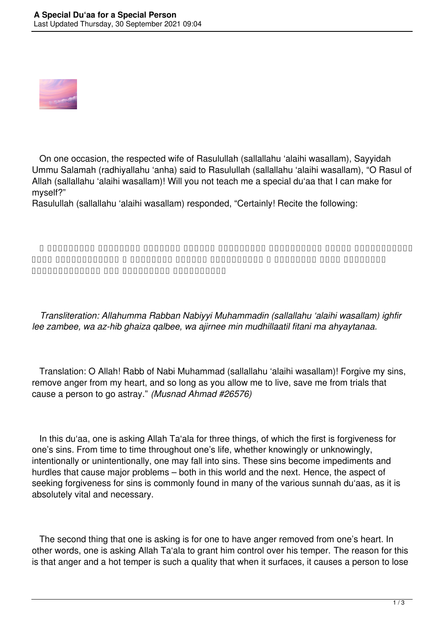

 On one occasion, the respected wife of Rasulullah (sallallahu 'alaihi wasallam), Sayyidah Ummu Salamah (radhiyallahu 'anha) said to Rasulullah (sallallahu 'alaihi wasallam), "O Rasul of Allah (sallallahu 'alaihi wasallam)! Will you not teach me a special du'aa that I can make for myself?"

Rasulullah (sallallahu 'alaihi wasallam) responded, "Certainly! Recite the following:

**اَللّٰهُمَّ رَبَّ النَّبِيِّ مُحَمَّدٍ صَلَّى اللَّهُ عَلَيْهِ وَسَلَّمَ ، اِغْفِرْ لِيْ ذَنْبِيْ ، وَأَذْهِبْ غَيْظَ قَلْبِيْ ، وَأَجِرْنِيْ مِنْ مُضِلَّاتِ الْفِتَنِ مَا أَحْيَيْتَنَا**

 *Transliteration: Allahumma Rabban Nabiyyi Muhammadin (sallallahu 'alaihi wasallam) ighfir lee zambee, wa az-hib ghaiza qalbee, wa ajirnee min mudhillaatil fitani ma ahyaytanaa.*

 Translation: O Allah! Rabb of Nabi Muhammad (sallallahu 'alaihi wasallam)! Forgive my sins, remove anger from my heart, and so long as you allow me to live, save me from trials that cause a person to go astray." *(Musnad Ahmad #26576)*

 In this du'aa, one is asking Allah Ta'ala for three things, of which the first is forgiveness for one's sins. From time to time throughout one's life, whether knowingly or unknowingly, intentionally or unintentionally, one may fall into sins. These sins become impediments and hurdles that cause major problems – both in this world and the next. Hence, the aspect of seeking forgiveness for sins is commonly found in many of the various sunnah du'aas, as it is absolutely vital and necessary.

 The second thing that one is asking is for one to have anger removed from one's heart. In other words, one is asking Allah Ta'ala to grant him control over his temper. The reason for this is that anger and a hot temper is such a quality that when it surfaces, it causes a person to lose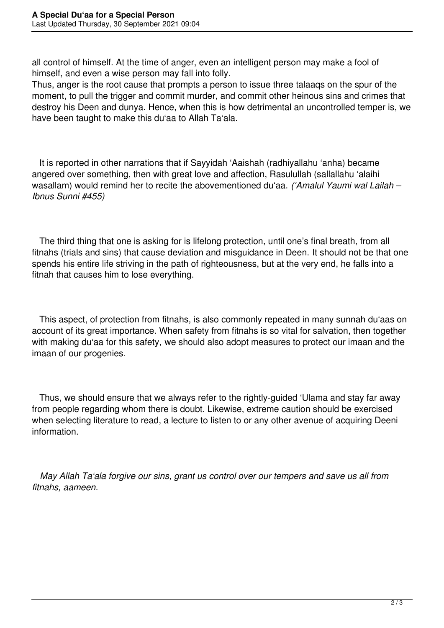all control of himself. At the time of anger, even an intelligent person may make a fool of himself, and even a wise person may fall into folly.

Thus, anger is the root cause that prompts a person to issue three talaaqs on the spur of the moment, to pull the trigger and commit murder, and commit other heinous sins and crimes that destroy his Deen and dunya. Hence, when this is how detrimental an uncontrolled temper is, we have been taught to make this du'aa to Allah Ta'ala.

 It is reported in other narrations that if Sayyidah 'Aaishah (radhiyallahu 'anha) became angered over something, then with great love and affection, Rasulullah (sallallahu 'alaihi wasallam) would remind her to recite the abovementioned du'aa. *('Amalul Yaumi wal Lailah – Ibnus Sunni #455)*

 The third thing that one is asking for is lifelong protection, until one's final breath, from all fitnahs (trials and sins) that cause deviation and misguidance in Deen. It should not be that one spends his entire life striving in the path of righteousness, but at the very end, he falls into a fitnah that causes him to lose everything.

 This aspect, of protection from fitnahs, is also commonly repeated in many sunnah du'aas on account of its great importance. When safety from fitnahs is so vital for salvation, then together with making du'aa for this safety, we should also adopt measures to protect our imaan and the imaan of our progenies.

 Thus, we should ensure that we always refer to the rightly-guided 'Ulama and stay far away from people regarding whom there is doubt. Likewise, extreme caution should be exercised when selecting literature to read, a lecture to listen to or any other avenue of acquiring Deeni information.

 *May Allah Ta'ala forgive our sins, grant us control over our tempers and save us all from fitnahs, aameen.*